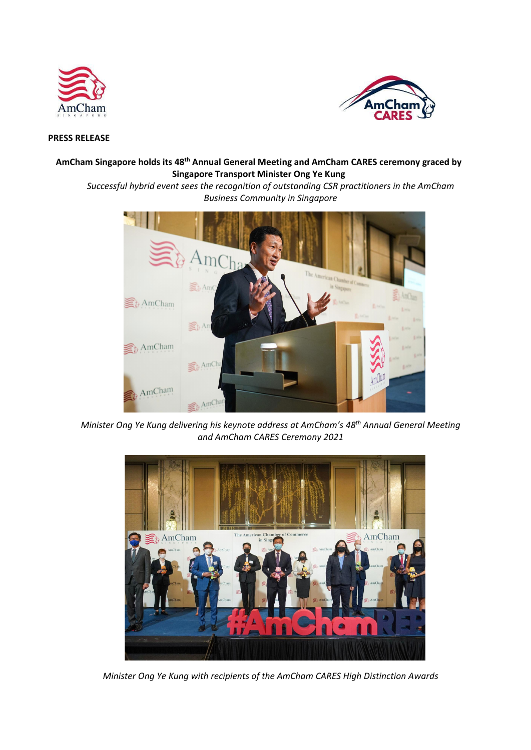



## **PRESS RELEASE**

# **AmCham Singapore holds its 48th Annual General Meeting and AmCham CARES ceremony graced by Singapore Transport Minister Ong Ye Kung**

*Successful hybrid event sees the recognition of outstanding CSR practitioners in the AmCham Business Community in Singapore* 



*Minister Ong Ye Kung delivering his keynote address at AmCham's 48th Annual General Meeting and AmCham CARES Ceremony 2021*



*Minister Ong Ye Kung with recipients of the AmCham CARES High Distinction Awards*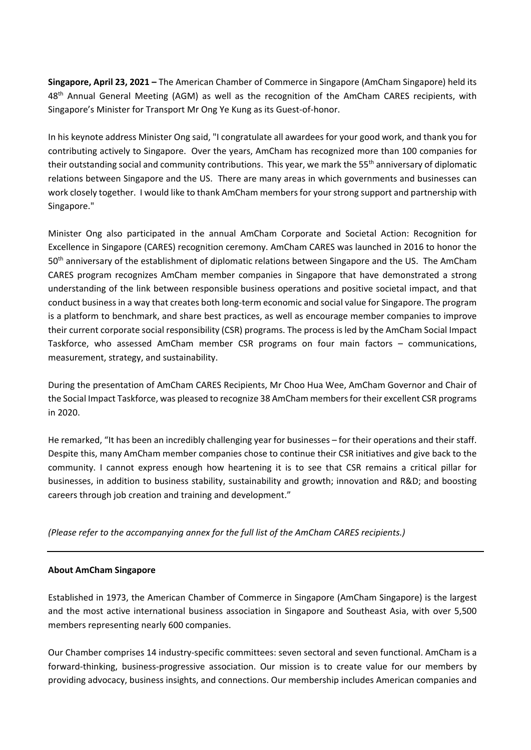**Singapore, April 23, 2021 –** The American Chamber of Commerce in Singapore (AmCham Singapore) held its 48<sup>th</sup> Annual General Meeting (AGM) as well as the recognition of the AmCham CARES recipients, with Singapore's Minister for Transport Mr Ong Ye Kung as its Guest-of-honor.

In his keynote address Minister Ong said, "I congratulate all awardees for your good work, and thank you for contributing actively to Singapore. Over the years, AmCham has recognized more than 100 companies for their outstanding social and community contributions. This year, we mark the 55<sup>th</sup> anniversary of diplomatic relations between Singapore and the US. There are many areas in which governments and businesses can work closely together. I would like to thank AmCham members for your strong support and partnership with Singapore."

Minister Ong also participated in the annual AmCham Corporate and Societal Action: Recognition for Excellence in Singapore (CARES) recognition ceremony. AmCham CARES was launched in 2016 to honor the 50<sup>th</sup> anniversary of the establishment of diplomatic relations between Singapore and the US. The AmCham CARES program recognizes AmCham member companies in Singapore that have demonstrated a strong understanding of the link between responsible business operations and positive societal impact, and that conduct business in a way that creates both long-term economic and social value for Singapore. The program is a platform to benchmark, and share best practices, as well as encourage member companies to improve their current corporate social responsibility (CSR) programs. The process is led by the AmCham Social Impact Taskforce, who assessed AmCham member CSR programs on four main factors – communications, measurement, strategy, and sustainability.

During the presentation of AmCham CARES Recipients, Mr Choo Hua Wee, AmCham Governor and Chair of the Social Impact Taskforce, was pleased to recognize 38 AmCham members for their excellent CSR programs in 2020.

He remarked, "It has been an incredibly challenging year for businesses – for their operations and their staff. Despite this, many AmCham member companies chose to continue their CSR initiatives and give back to the community. I cannot express enough how heartening it is to see that CSR remains a critical pillar for businesses, in addition to business stability, sustainability and growth; innovation and R&D; and boosting careers through job creation and training and development."

*(Please refer to the accompanying annex for the full list of the AmCham CARES recipients.)*

## **About AmCham Singapore**

Established in 1973, the American Chamber of Commerce in Singapore (AmCham Singapore) is the largest and the most active international business association in Singapore and Southeast Asia, with over 5,500 members representing nearly 600 companies.

Our Chamber comprises 14 industry-specific committees: seven sectoral and seven functional. AmCham is a forward-thinking, business-progressive association. Our mission is to create value for our members by providing advocacy, business insights, and connections. Our membership includes American companies and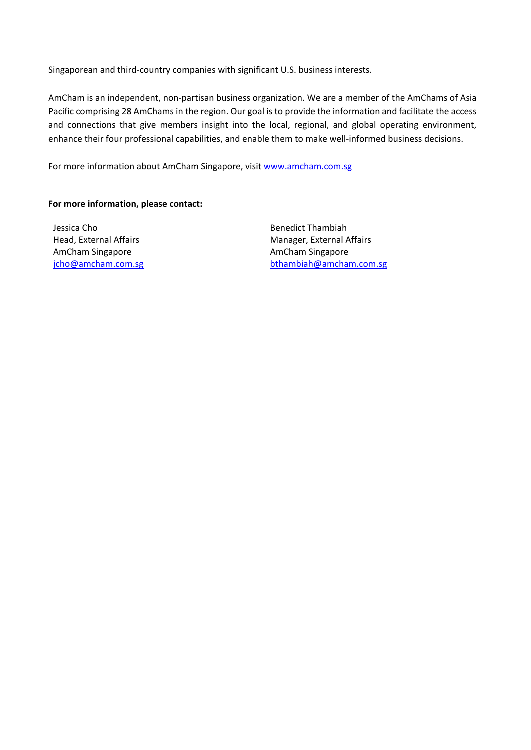Singaporean and third-country companies with significant U.S. business interests.

AmCham is an independent, non-partisan business organization. We are a member of the AmChams of Asia Pacific comprising 28 AmChams in the region. Our goal is to provide the information and facilitate the access and connections that give members insight into the local, regional, and global operating environment, enhance their four professional capabilities, and enable them to make well-informed business decisions.

For more information about AmCham Singapore, visi[t www.amcham.com.sg](http://www.amcham.com.sg/)

## **For more information, please contact:**

Jessica Cho Head, External Affairs AmCham Singapore [jcho@amcham.com.sg](mailto:jcho@amcham.com.sg) Benedict Thambiah Manager, External Affairs AmCham Singapore [bthambiah@amcham.com.sg](mailto:bthambiah@amcham.com.sg)